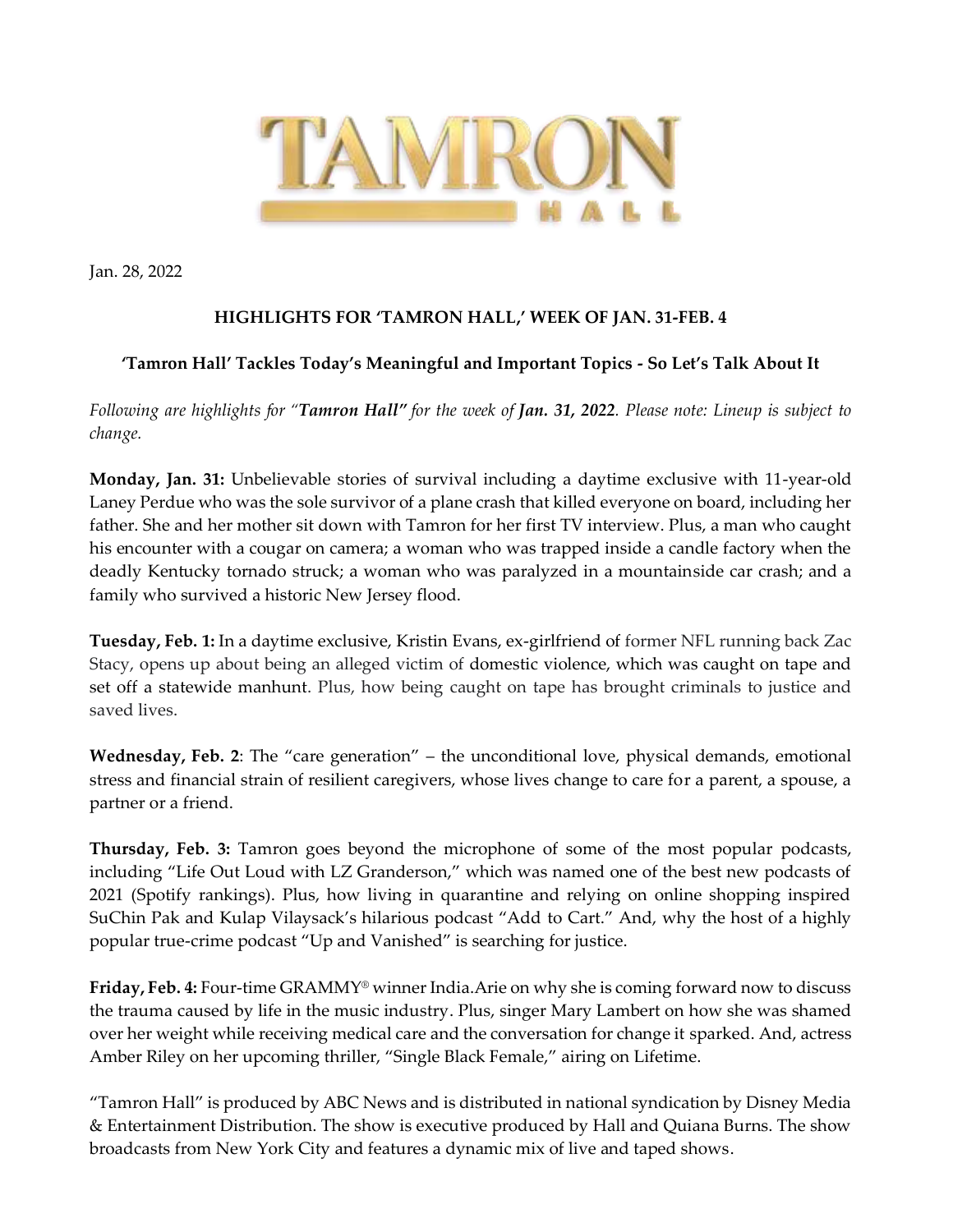

Jan. 28, 2022

## **HIGHLIGHTS FOR 'TAMRON HALL,' WEEK OF JAN. 31-FEB. 4**

## **'Tamron Hall' Tackles Today's Meaningful and Important Topics - So Let's Talk About It**

*Following are highlights for "Tamron Hall" for the week of Jan. 31, 2022. Please note: Lineup is subject to change.* 

**Monday, Jan. 31:** Unbelievable stories of survival including a daytime exclusive with 11-year-old Laney Perdue who was the sole survivor of a plane crash that killed everyone on board, including her father. She and her mother sit down with Tamron for her first TV interview. Plus, a man who caught his encounter with a cougar on camera; a woman who was trapped inside a candle factory when the deadly Kentucky tornado struck; a woman who was paralyzed in a mountainside car crash; and a family who survived a historic New Jersey flood.

**Tuesday, Feb. 1:** In a daytime exclusive, Kristin Evans, ex-girlfriend of former NFL running back Zac Stacy, opens up about being an alleged victim of domestic violence, which was caught on tape and set off a statewide manhunt. Plus, how being caught on tape has brought criminals to justice and saved lives.

**Wednesday, Feb. 2**: The "care generation" – the unconditional love, physical demands, emotional stress and financial strain of resilient caregivers, whose lives change to care for a parent, a spouse, a partner or a friend.

**Thursday, Feb. 3:** Tamron goes beyond the microphone of some of the most popular podcasts, including "Life Out Loud with LZ Granderson," which was named one of the best new podcasts of 2021 (Spotify rankings). Plus, how living in quarantine and relying on online shopping inspired SuChin Pak and Kulap Vilaysack's hilarious podcast "Add to Cart." And, why the host of a highly popular true-crime podcast "Up and Vanished" is searching for justice.

**Friday, Feb. 4:** Four-time GRAMMY® winner India.Arie on why she is coming forward now to discuss the trauma caused by life in the music industry. Plus, singer Mary Lambert on how she was shamed over her weight while receiving medical care and the conversation for change it sparked. And, actress Amber Riley on her upcoming thriller, "Single Black Female," airing on Lifetime.

"Tamron Hall" is produced by ABC News and is distributed in national syndication by Disney Media & Entertainment Distribution. The show is executive produced by Hall and Quiana Burns. The show broadcasts from New York City and features a dynamic mix of live and taped shows.